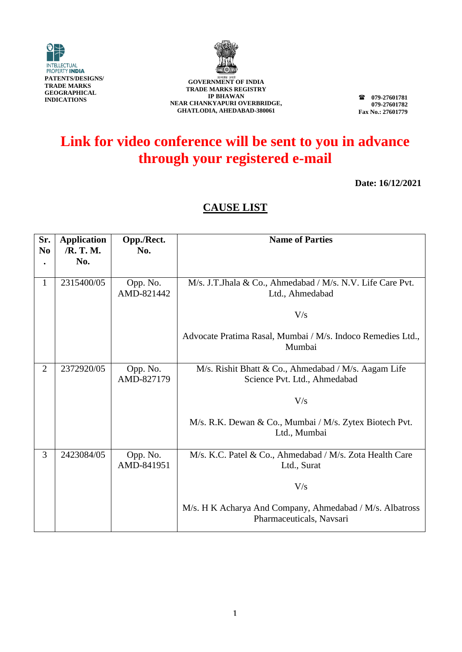



GOVERNMENT OF INDIA **TRADE MARKS REGISTRY IP BHAWAN NEAR CHANKYAPURI OVERBRIDGE, GHATLODIA, AHEDABAD-380061**

**079-27601781 079-27601782 Fax No.: 27601779**

## **Link for video conference will be sent to you in advance through your registered e-mail**

**Date: 16/12/2021**

## **CAUSE LIST**

| Sr.<br>N <sub>0</sub> | <b>Application</b><br>/R. T. M. | Opp./Rect.<br>No.      | <b>Name of Parties</b>                                                               |
|-----------------------|---------------------------------|------------------------|--------------------------------------------------------------------------------------|
|                       | No.                             |                        |                                                                                      |
| 1                     | 2315400/05                      | Opp. No.<br>AMD-821442 | M/s. J.T.Jhala & Co., Ahmedabad / M/s. N.V. Life Care Pvt.<br>Ltd., Ahmedabad        |
|                       |                                 |                        | V/s                                                                                  |
|                       |                                 |                        | Advocate Pratima Rasal, Mumbai / M/s. Indoco Remedies Ltd.,<br>Mumbai                |
| $\overline{2}$        | 2372920/05                      | Opp. No.<br>AMD-827179 | M/s. Rishit Bhatt & Co., Ahmedabad / M/s. Aagam Life<br>Science Pvt. Ltd., Ahmedabad |
|                       |                                 |                        | V/s                                                                                  |
|                       |                                 |                        | M/s. R.K. Dewan & Co., Mumbai / M/s. Zytex Biotech Pvt.<br>Ltd., Mumbai              |
| 3                     | 2423084/05                      | Opp. No.<br>AMD-841951 | M/s. K.C. Patel & Co., Ahmedabad / M/s. Zota Health Care<br>Ltd., Surat              |
|                       |                                 |                        | V/s                                                                                  |
|                       |                                 |                        | M/s. H K Acharya And Company, Ahmedabad / M/s. Albatross<br>Pharmaceuticals, Navsari |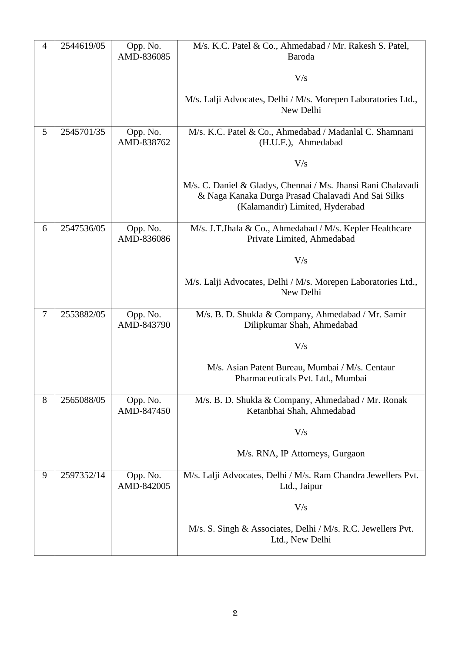| 4              | 2544619/05 | Opp. No.<br>AMD-836085 | M/s. K.C. Patel & Co., Ahmedabad / Mr. Rakesh S. Patel,<br>Baroda                                                                                     |
|----------------|------------|------------------------|-------------------------------------------------------------------------------------------------------------------------------------------------------|
|                |            |                        | V/s                                                                                                                                                   |
|                |            |                        | M/s. Lalji Advocates, Delhi / M/s. Morepen Laboratories Ltd.,<br>New Delhi                                                                            |
| 5              | 2545701/35 | Opp. No.<br>AMD-838762 | M/s. K.C. Patel & Co., Ahmedabad / Madanlal C. Shamnani<br>(H.U.F.), Ahmedabad                                                                        |
|                |            |                        | V/s                                                                                                                                                   |
|                |            |                        | M/s. C. Daniel & Gladys, Chennai / Ms. Jhansi Rani Chalavadi<br>& Naga Kanaka Durga Prasad Chalavadi And Sai Silks<br>(Kalamandir) Limited, Hyderabad |
| 6              | 2547536/05 | Opp. No.<br>AMD-836086 | M/s. J.T.Jhala & Co., Ahmedabad / M/s. Kepler Healthcare<br>Private Limited, Ahmedabad                                                                |
|                |            |                        | V/s                                                                                                                                                   |
|                |            |                        | M/s. Lalji Advocates, Delhi / M/s. Morepen Laboratories Ltd.,<br>New Delhi                                                                            |
| $\overline{7}$ | 2553882/05 | Opp. No.<br>AMD-843790 | M/s. B. D. Shukla & Company, Ahmedabad / Mr. Samir<br>Dilipkumar Shah, Ahmedabad                                                                      |
|                |            |                        | V/s                                                                                                                                                   |
|                |            |                        | M/s. Asian Patent Bureau, Mumbai / M/s. Centaur<br>Pharmaceuticals Pvt. Ltd., Mumbai                                                                  |
| 8              | 2565088/05 | Opp. No.<br>AMD-847450 | M/s. B. D. Shukla & Company, Ahmedabad / Mr. Ronak<br>Ketanbhai Shah, Ahmedabad                                                                       |
|                |            |                        | V/s                                                                                                                                                   |
|                |            |                        | M/s. RNA, IP Attorneys, Gurgaon                                                                                                                       |
| 9              | 2597352/14 | Opp. No.<br>AMD-842005 | M/s. Lalji Advocates, Delhi / M/s. Ram Chandra Jewellers Pvt.<br>Ltd., Jaipur                                                                         |
|                |            |                        | V/s                                                                                                                                                   |
|                |            |                        | M/s. S. Singh & Associates, Delhi / M/s. R.C. Jewellers Pvt.<br>Ltd., New Delhi                                                                       |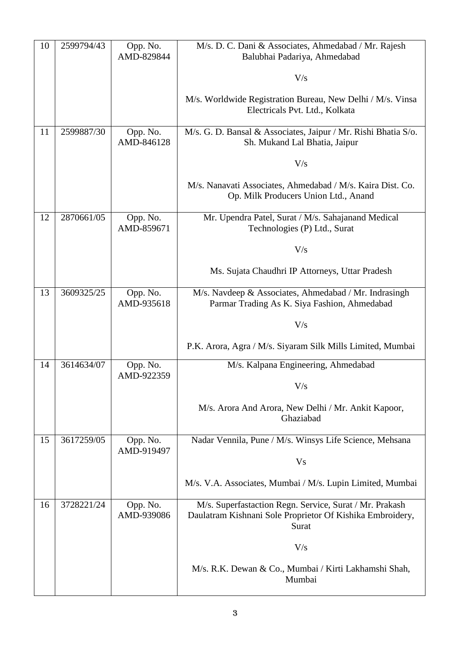| 10 | 2599794/43 | Opp. No.<br>AMD-829844 | M/s. D. C. Dani & Associates, Ahmedabad / Mr. Rajesh<br>Balubhai Padariya, Ahmedabad                                          |
|----|------------|------------------------|-------------------------------------------------------------------------------------------------------------------------------|
|    |            |                        |                                                                                                                               |
|    |            |                        | V/s                                                                                                                           |
|    |            |                        | M/s. Worldwide Registration Bureau, New Delhi / M/s. Vinsa<br>Electricals Pvt. Ltd., Kolkata                                  |
| 11 | 2599887/30 | Opp. No.<br>AMD-846128 | M/s. G. D. Bansal & Associates, Jaipur / Mr. Rishi Bhatia S/o.<br>Sh. Mukand Lal Bhatia, Jaipur                               |
|    |            |                        | V/s                                                                                                                           |
|    |            |                        | M/s. Nanavati Associates, Ahmedabad / M/s. Kaira Dist. Co.<br>Op. Milk Producers Union Ltd., Anand                            |
| 12 | 2870661/05 | Opp. No.<br>AMD-859671 | Mr. Upendra Patel, Surat / M/s. Sahajanand Medical<br>Technologies (P) Ltd., Surat                                            |
|    |            |                        | V/s                                                                                                                           |
|    |            |                        | Ms. Sujata Chaudhri IP Attorneys, Uttar Pradesh                                                                               |
| 13 | 3609325/25 | Opp. No.<br>AMD-935618 | M/s. Navdeep & Associates, Ahmedabad / Mr. Indrasingh<br>Parmar Trading As K. Siya Fashion, Ahmedabad                         |
|    |            |                        | V/s                                                                                                                           |
|    |            |                        | P.K. Arora, Agra / M/s. Siyaram Silk Mills Limited, Mumbai                                                                    |
| 14 | 3614634/07 | Opp. No.<br>AMD-922359 | M/s. Kalpana Engineering, Ahmedabad                                                                                           |
|    |            |                        | V/s                                                                                                                           |
|    |            |                        | M/s. Arora And Arora, New Delhi / Mr. Ankit Kapoor,<br>Ghaziabad                                                              |
| 15 | 3617259/05 | Opp. No.<br>AMD-919497 | Nadar Vennila, Pune / M/s. Winsys Life Science, Mehsana                                                                       |
|    |            |                        | <b>Vs</b>                                                                                                                     |
|    |            |                        | M/s. V.A. Associates, Mumbai / M/s. Lupin Limited, Mumbai                                                                     |
| 16 | 3728221/24 | Opp. No.<br>AMD-939086 | M/s. Superfastaction Regn. Service, Surat / Mr. Prakash<br>Daulatram Kishnani Sole Proprietor Of Kishika Embroidery,<br>Surat |
|    |            |                        | V/s                                                                                                                           |
|    |            |                        | M/s. R.K. Dewan & Co., Mumbai / Kirti Lakhamshi Shah,<br>Mumbai                                                               |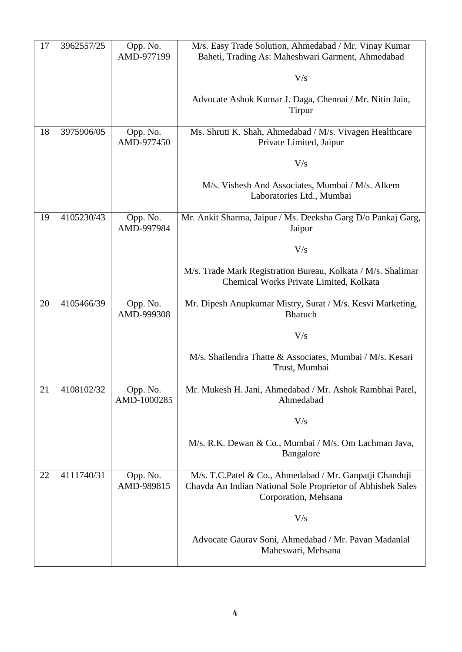| 17 | 3962557/25 | Opp. No.<br>AMD-977199  | M/s. Easy Trade Solution, Ahmedabad / Mr. Vinay Kumar<br>Baheti, Trading As: Maheshwari Garment, Ahmedabad                                     |
|----|------------|-------------------------|------------------------------------------------------------------------------------------------------------------------------------------------|
|    |            |                         | V/s                                                                                                                                            |
|    |            |                         | Advocate Ashok Kumar J. Daga, Chennai / Mr. Nitin Jain,<br>Tirpur                                                                              |
| 18 | 3975906/05 | Opp. No.<br>AMD-977450  | Ms. Shruti K. Shah, Ahmedabad / M/s. Vivagen Healthcare<br>Private Limited, Jaipur                                                             |
|    |            |                         | V/s                                                                                                                                            |
|    |            |                         | M/s. Vishesh And Associates, Mumbai / M/s. Alkem<br>Laboratories Ltd., Mumbai                                                                  |
| 19 | 4105230/43 | Opp. No.<br>AMD-997984  | Mr. Ankit Sharma, Jaipur / Ms. Deeksha Garg D/o Pankaj Garg,<br>Jaipur                                                                         |
|    |            |                         | V/s                                                                                                                                            |
|    |            |                         | M/s. Trade Mark Registration Bureau, Kolkata / M/s. Shalimar<br>Chemical Works Private Limited, Kolkata                                        |
| 20 | 4105466/39 | Opp. No.<br>AMD-999308  | Mr. Dipesh Anupkumar Mistry, Surat / M/s. Kesvi Marketing,<br><b>Bharuch</b>                                                                   |
|    |            |                         | V/s                                                                                                                                            |
|    |            |                         | M/s. Shailendra Thatte & Associates, Mumbai / M/s. Kesari<br>Trust, Mumbai                                                                     |
| 21 | 4108102/32 | Opp. No.<br>AMD-1000285 | Mr. Mukesh H. Jani, Ahmedabad / Mr. Ashok Rambhai Patel,<br>Ahmedabad                                                                          |
|    |            |                         | V/s                                                                                                                                            |
|    |            |                         | M/s. R.K. Dewan & Co., Mumbai / M/s. Om Lachman Java,<br>Bangalore                                                                             |
| 22 | 4111740/31 | Opp. No.<br>AMD-989815  | M/s. T.C.Patel & Co., Ahmedabad / Mr. Ganpatji Chanduji<br>Chavda An Indian National Sole Proprietor of Abhishek Sales<br>Corporation, Mehsana |
|    |            |                         | V/s                                                                                                                                            |
|    |            |                         | Advocate Gaurav Soni, Ahmedabad / Mr. Pavan Madanlal<br>Maheswari, Mehsana                                                                     |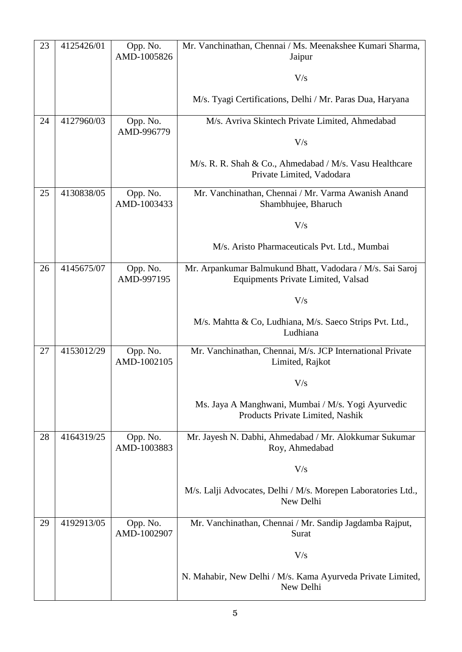| 23 | 4125426/01 | Opp. No.<br>AMD-1005826 | Mr. Vanchinathan, Chennai / Ms. Meenakshee Kumari Sharma,<br>Jaipur                             |
|----|------------|-------------------------|-------------------------------------------------------------------------------------------------|
|    |            |                         | V/s                                                                                             |
|    |            |                         | M/s. Tyagi Certifications, Delhi / Mr. Paras Dua, Haryana                                       |
| 24 | 4127960/03 | Opp. No.<br>AMD-996779  | M/s. Avriva Skintech Private Limited, Ahmedabad                                                 |
|    |            |                         | V/s                                                                                             |
|    |            |                         | M/s. R. R. Shah & Co., Ahmedabad / M/s. Vasu Healthcare<br>Private Limited, Vadodara            |
| 25 | 4130838/05 | Opp. No.<br>AMD-1003433 | Mr. Vanchinathan, Chennai / Mr. Varma Awanish Anand<br>Shambhujee, Bharuch                      |
|    |            |                         | V/s                                                                                             |
|    |            |                         | M/s. Aristo Pharmaceuticals Pvt. Ltd., Mumbai                                                   |
| 26 | 4145675/07 | Opp. No.<br>AMD-997195  | Mr. Arpankumar Balmukund Bhatt, Vadodara / M/s. Sai Saroj<br>Equipments Private Limited, Valsad |
|    |            |                         | V/s                                                                                             |
|    |            |                         | M/s. Mahtta & Co, Ludhiana, M/s. Saeco Strips Pvt. Ltd.,<br>Ludhiana                            |
| 27 | 4153012/29 | Opp. No.<br>AMD-1002105 | Mr. Vanchinathan, Chennai, M/s. JCP International Private<br>Limited, Rajkot                    |
|    |            |                         | V/s                                                                                             |
|    |            |                         | Ms. Jaya A Manghwani, Mumbai / M/s. Yogi Ayurvedic<br>Products Private Limited, Nashik          |
| 28 | 4164319/25 | Opp. No.<br>AMD-1003883 | Mr. Jayesh N. Dabhi, Ahmedabad / Mr. Alokkumar Sukumar<br>Roy, Ahmedabad                        |
|    |            |                         | V/s                                                                                             |
|    |            |                         | M/s. Lalji Advocates, Delhi / M/s. Morepen Laboratories Ltd.,<br>New Delhi                      |
| 29 | 4192913/05 | Opp. No.<br>AMD-1002907 | Mr. Vanchinathan, Chennai / Mr. Sandip Jagdamba Rajput,<br>Surat                                |
|    |            |                         | V/s                                                                                             |
|    |            |                         | N. Mahabir, New Delhi / M/s. Kama Ayurveda Private Limited,<br>New Delhi                        |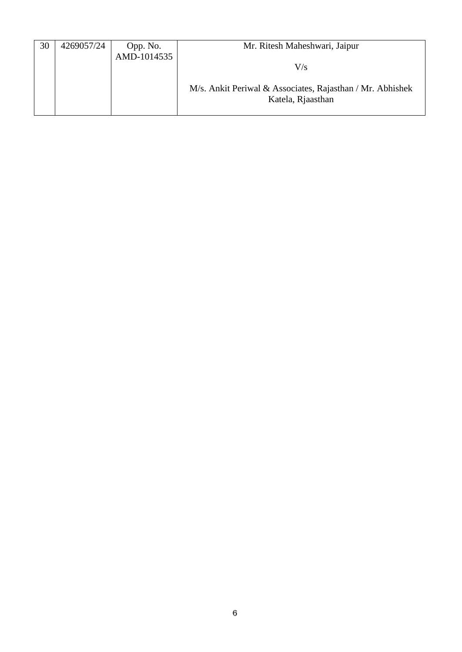| 30 | 4269057/24 | Opp. No.    | Mr. Ritesh Maheshwari, Jaipur                             |
|----|------------|-------------|-----------------------------------------------------------|
|    |            | AMD-1014535 |                                                           |
|    |            |             | V/s                                                       |
|    |            |             |                                                           |
|    |            |             | M/s. Ankit Periwal & Associates, Rajasthan / Mr. Abhishek |
|    |            |             | Katela, Rjaasthan                                         |
|    |            |             |                                                           |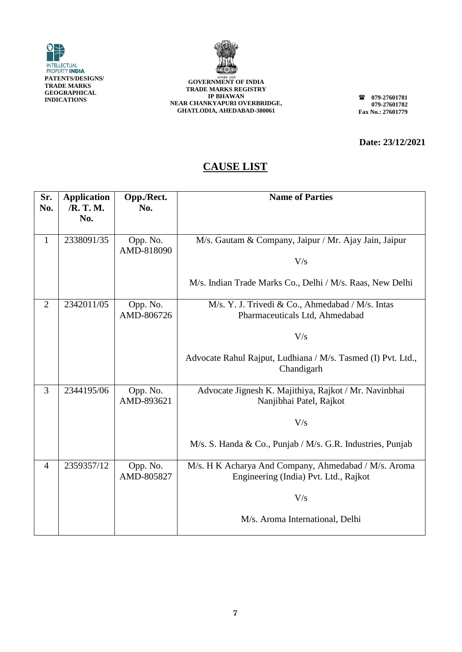



**GOVERNMENT OF INDIA TRADE MARKS REGISTRY IP BHAWAN NEAR CHANKYAPURI OVERBRIDGE, GHATLODIA, AHEDABAD-380061**

**079-27601781 079-27601782 Fax No.: 27601779**

**Date: 23/12/2021**

## **CAUSE LIST**

| Sr.<br>No.     | <b>Application</b><br>/R. T. M.<br>No. | Opp./Rect.<br>No.      | <b>Name of Parties</b>                                                                        |
|----------------|----------------------------------------|------------------------|-----------------------------------------------------------------------------------------------|
| $\mathbf{1}$   | 2338091/35                             | Opp. No.<br>AMD-818090 | M/s. Gautam & Company, Jaipur / Mr. Ajay Jain, Jaipur<br>V/s                                  |
|                |                                        |                        | M/s. Indian Trade Marks Co., Delhi / M/s. Raas, New Delhi                                     |
| $\overline{2}$ | 2342011/05                             | Opp. No.<br>AMD-806726 | M/s. Y. J. Trivedi & Co., Ahmedabad / M/s. Intas<br>Pharmaceuticals Ltd, Ahmedabad            |
|                |                                        |                        | V/s                                                                                           |
|                |                                        |                        | Advocate Rahul Rajput, Ludhiana / M/s. Tasmed (I) Pvt. Ltd.,<br>Chandigarh                    |
| 3              | 2344195/06                             | Opp. No.<br>AMD-893621 | Advocate Jignesh K. Majithiya, Rajkot / Mr. Navinbhai<br>Nanjibhai Patel, Rajkot              |
|                |                                        |                        | V/s                                                                                           |
|                |                                        |                        | M/s. S. Handa & Co., Punjab / M/s. G.R. Industries, Punjab                                    |
| $\overline{4}$ | 2359357/12                             | Opp. No.<br>AMD-805827 | M/s. H K Acharya And Company, Ahmedabad / M/s. Aroma<br>Engineering (India) Pvt. Ltd., Rajkot |
|                |                                        |                        | V/s                                                                                           |
|                |                                        |                        | M/s. Aroma International, Delhi                                                               |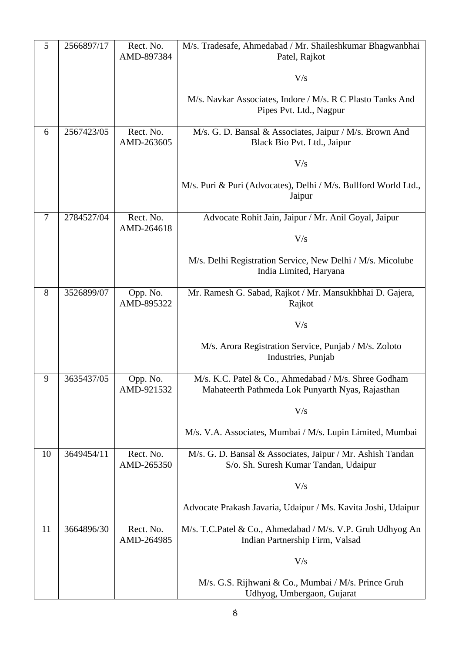| 5              | 2566897/17 | Rect. No.<br>AMD-897384 | M/s. Tradesafe, Ahmedabad / Mr. Shaileshkumar Bhagwanbhai<br>Patel, Rajkot                               |
|----------------|------------|-------------------------|----------------------------------------------------------------------------------------------------------|
|                |            |                         | V/s                                                                                                      |
|                |            |                         | M/s. Navkar Associates, Indore / M/s. R C Plasto Tanks And<br>Pipes Pvt. Ltd., Nagpur                    |
| 6              | 2567423/05 | Rect. No.<br>AMD-263605 | M/s. G. D. Bansal & Associates, Jaipur / M/s. Brown And<br>Black Bio Pvt. Ltd., Jaipur                   |
|                |            |                         | V/s                                                                                                      |
|                |            |                         | M/s. Puri & Puri (Advocates), Delhi / M/s. Bullford World Ltd.,<br>Jaipur                                |
| $\overline{7}$ | 2784527/04 | Rect. No.<br>AMD-264618 | Advocate Rohit Jain, Jaipur / Mr. Anil Goyal, Jaipur                                                     |
|                |            |                         | V/s                                                                                                      |
|                |            |                         | M/s. Delhi Registration Service, New Delhi / M/s. Micolube<br>India Limited, Haryana                     |
| 8              | 3526899/07 | Opp. No.<br>AMD-895322  | Mr. Ramesh G. Sabad, Rajkot / Mr. Mansukhbhai D. Gajera,<br>Rajkot                                       |
|                |            |                         | V/s                                                                                                      |
|                |            |                         | M/s. Arora Registration Service, Punjab / M/s. Zoloto<br>Industries, Punjab                              |
| 9              | 3635437/05 | Opp. No.<br>AMD-921532  | M/s. K.C. Patel & Co., Ahmedabad / M/s. Shree Godham<br>Mahateerth Pathmeda Lok Punyarth Nyas, Rajasthan |
|                |            |                         | V/s                                                                                                      |
|                |            |                         | M/s. V.A. Associates, Mumbai / M/s. Lupin Limited, Mumbai                                                |
| 10             | 3649454/11 | Rect. No.<br>AMD-265350 | M/s. G. D. Bansal & Associates, Jaipur / Mr. Ashish Tandan<br>S/o. Sh. Suresh Kumar Tandan, Udaipur      |
|                |            |                         | V/s                                                                                                      |
|                |            |                         | Advocate Prakash Javaria, Udaipur / Ms. Kavita Joshi, Udaipur                                            |
| 11             | 3664896/30 | Rect. No.<br>AMD-264985 | M/s. T.C.Patel & Co., Ahmedabad / M/s. V.P. Gruh Udhyog An<br>Indian Partnership Firm, Valsad            |
|                |            |                         | V/s                                                                                                      |
|                |            |                         | M/s. G.S. Rijhwani & Co., Mumbai / M/s. Prince Gruh<br>Udhyog, Umbergaon, Gujarat                        |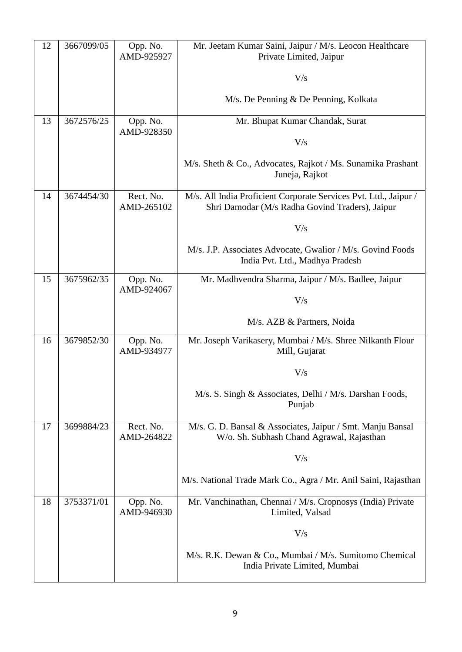| 12 | 3667099/05 | Opp. No.                | Mr. Jeetam Kumar Saini, Jaipur / M/s. Leocon Healthcare                                                             |
|----|------------|-------------------------|---------------------------------------------------------------------------------------------------------------------|
|    |            | AMD-925927              | Private Limited, Jaipur                                                                                             |
|    |            |                         | V/s                                                                                                                 |
|    |            |                         | M/s. De Penning & De Penning, Kolkata                                                                               |
| 13 | 3672576/25 | Opp. No.                | Mr. Bhupat Kumar Chandak, Surat                                                                                     |
|    |            | AMD-928350              | V/s                                                                                                                 |
|    |            |                         | M/s. Sheth & Co., Advocates, Rajkot / Ms. Sunamika Prashant<br>Juneja, Rajkot                                       |
| 14 | 3674454/30 | Rect. No.<br>AMD-265102 | M/s. All India Proficient Corporate Services Pvt. Ltd., Jaipur /<br>Shri Damodar (M/s Radha Govind Traders), Jaipur |
|    |            |                         | V/s                                                                                                                 |
|    |            |                         | M/s. J.P. Associates Advocate, Gwalior / M/s. Govind Foods<br>India Pvt. Ltd., Madhya Pradesh                       |
| 15 | 3675962/35 | Opp. No.<br>AMD-924067  | Mr. Madhvendra Sharma, Jaipur / M/s. Badlee, Jaipur                                                                 |
|    |            |                         | V/s                                                                                                                 |
|    |            |                         | M/s. AZB & Partners, Noida                                                                                          |
| 16 | 3679852/30 | Opp. No.<br>AMD-934977  | Mr. Joseph Varikasery, Mumbai / M/s. Shree Nilkanth Flour<br>Mill, Gujarat                                          |
|    |            |                         | V/s                                                                                                                 |
|    |            |                         | M/s. S. Singh & Associates, Delhi / M/s. Darshan Foods,<br>Punjab                                                   |
| 17 | 3699884/23 | Rect. No.<br>AMD-264822 | M/s. G. D. Bansal & Associates, Jaipur / Smt. Manju Bansal<br>W/o. Sh. Subhash Chand Agrawal, Rajasthan             |
|    |            |                         | V/s                                                                                                                 |
|    |            |                         | M/s. National Trade Mark Co., Agra / Mr. Anil Saini, Rajasthan                                                      |
| 18 | 3753371/01 | Opp. No.<br>AMD-946930  | Mr. Vanchinathan, Chennai / M/s. Cropnosys (India) Private<br>Limited, Valsad                                       |
|    |            |                         | V/s                                                                                                                 |
|    |            |                         | M/s. R.K. Dewan & Co., Mumbai / M/s. Sumitomo Chemical<br>India Private Limited, Mumbai                             |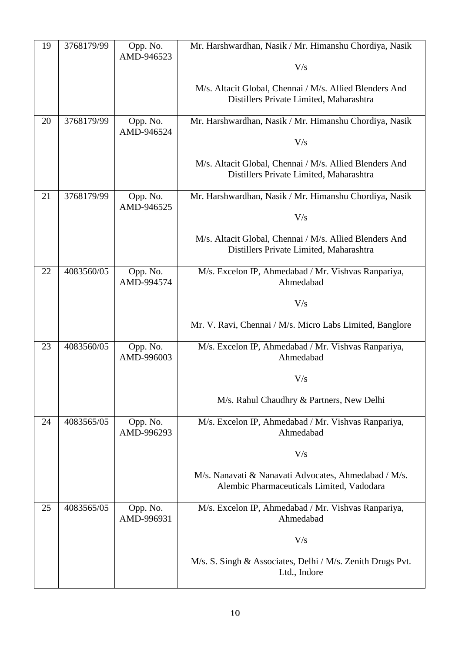| 19 | 3768179/99 | Opp. No.<br>AMD-946523 | Mr. Harshwardhan, Nasik / Mr. Himanshu Chordiya, Nasik<br>V/s                                      |
|----|------------|------------------------|----------------------------------------------------------------------------------------------------|
|    |            |                        | M/s. Altacit Global, Chennai / M/s. Allied Blenders And<br>Distillers Private Limited, Maharashtra |
| 20 | 3768179/99 | Opp. No.<br>AMD-946524 | Mr. Harshwardhan, Nasik / Mr. Himanshu Chordiya, Nasik                                             |
|    |            |                        | V/s                                                                                                |
|    |            |                        | M/s. Altacit Global, Chennai / M/s. Allied Blenders And<br>Distillers Private Limited, Maharashtra |
| 21 | 3768179/99 | Opp. No.<br>AMD-946525 | Mr. Harshwardhan, Nasik / Mr. Himanshu Chordiya, Nasik                                             |
|    |            |                        | V/s                                                                                                |
|    |            |                        | M/s. Altacit Global, Chennai / M/s. Allied Blenders And<br>Distillers Private Limited, Maharashtra |
| 22 | 4083560/05 | Opp. No.<br>AMD-994574 | M/s. Excelon IP, Ahmedabad / Mr. Vishvas Ranpariya,<br>Ahmedabad                                   |
|    |            |                        | V/s                                                                                                |
|    |            |                        | Mr. V. Ravi, Chennai / M/s. Micro Labs Limited, Banglore                                           |
| 23 | 4083560/05 | Opp. No.<br>AMD-996003 | M/s. Excelon IP, Ahmedabad / Mr. Vishvas Ranpariya,<br>Ahmedabad                                   |
|    |            |                        | V/s                                                                                                |
|    |            |                        | M/s. Rahul Chaudhry & Partners, New Delhi                                                          |
| 24 | 4083565/05 | Opp. No.<br>AMD-996293 | M/s. Excelon IP, Ahmedabad / Mr. Vishvas Ranpariya,<br>Ahmedabad                                   |
|    |            |                        | V/s                                                                                                |
|    |            |                        | M/s. Nanavati & Nanavati Advocates, Ahmedabad / M/s.<br>Alembic Pharmaceuticals Limited, Vadodara  |
| 25 | 4083565/05 | Opp. No.<br>AMD-996931 | M/s. Excelon IP, Ahmedabad / Mr. Vishvas Ranpariya,<br>Ahmedabad                                   |
|    |            |                        | V/s                                                                                                |
|    |            |                        | M/s. S. Singh & Associates, Delhi / M/s. Zenith Drugs Pvt.<br>Ltd., Indore                         |